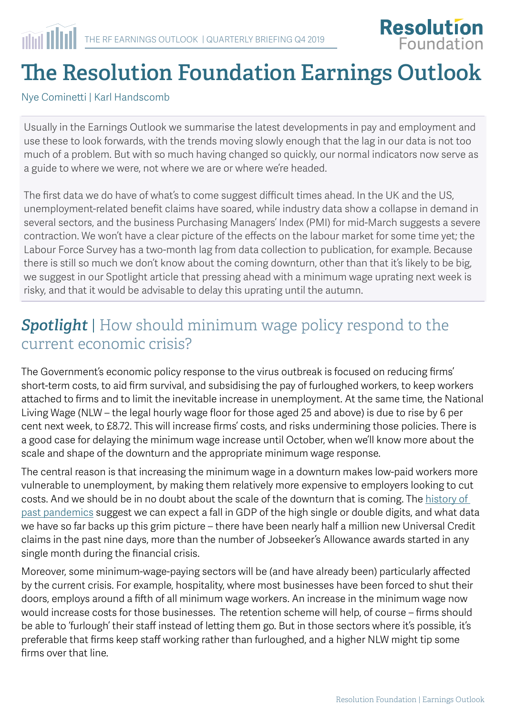

# **The Resolution Foundation Earnings Outlook**

Nye Cominetti | Karl Handscomb

Usually in the Earnings Outlook we summarise the latest developments in pay and employment and use these to look forwards, with the trends moving slowly enough that the lag in our data is not too much of a problem. But with so much having changed so quickly, our normal indicators now serve as a guide to where we were, not where we are or where we're headed.

The first data we do have of what's to come suggest difficult times ahead. In the UK and the US, unemployment-related benefit claims have soared, while industry data show a collapse in demand in several sectors, and the business Purchasing Managers' Index (PMI) for mid-March suggests a severe contraction. We won't have a clear picture of the effects on the labour market for some time yet; the Labour Force Survey has a two-month lag from data collection to publication, for example. Because there is still so much we don't know about the coming downturn, other than that it's likely to be big, we suggest in our Spotlight article that pressing ahead with a minimum wage uprating next week is risky, and that it would be advisable to delay this uprating until the autumn.

### *Spotlight* | How should minimum wage policy respond to the current economic crisis?

The Government's economic policy response to the virus outbreak is focused on reducing firms' short-term costs, to aid firm survival, and subsidising the pay of furloughed workers, to keep workers attached to firms and to limit the inevitable increase in unemployment. At the same time, the National Living Wage (NLW – the legal hourly wage floor for those aged 25 and above) is due to rise by 6 per cent next week, to £8.72. This will increase firms' costs, and risks undermining those policies. There is a good case for delaying the minimum wage increase until October, when we'll know more about the scale and shape of the downturn and the appropriate minimum wage response.

The central reason is that increasing the minimum wage in a downturn makes low-paid workers more vulnerable to unemployment, by making them relatively more expensive to employers looking to cut costs. And we should be in no doubt about the scale of the downturn that is coming. The [history of](https://www.resolutionfoundation.org/publications/safeguarding-governments-financial-health-during-coronavirus/)  [past pandemics](https://www.resolutionfoundation.org/publications/safeguarding-governments-financial-health-during-coronavirus/) suggest we can expect a fall in GDP of the high single or double digits, and what data we have so far backs up this grim picture – there have been nearly half a million new Universal Credit claims in the past nine days, more than the number of Jobseeker's Allowance awards started in any single month during the financial crisis.

Moreover, some minimum-wage-paying sectors will be (and have already been) particularly affected by the current crisis. For example, hospitality, where most businesses have been forced to shut their doors, employs around a fifth of all minimum wage workers. An increase in the minimum wage now would increase costs for those businesses. The retention scheme will help, of course – firms should be able to 'furlough' their staff instead of letting them go. But in those sectors where it's possible, it's preferable that firms keep staff working rather than furloughed, and a higher NLW might tip some firms over that line.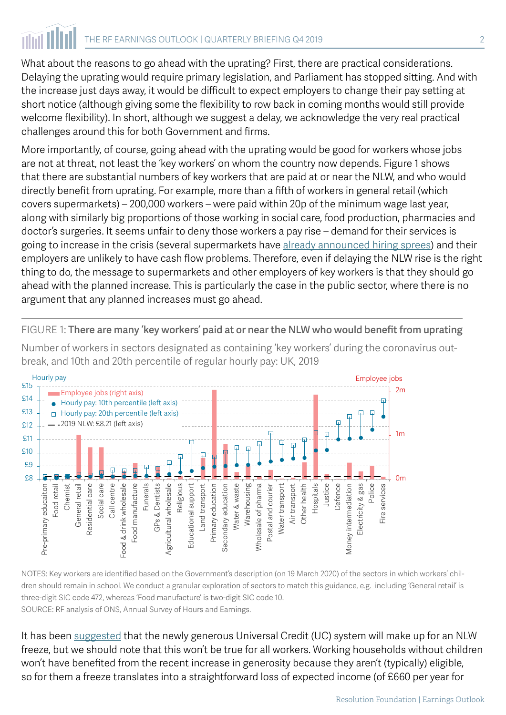# THE RF EARNINGS OUTLOOK | QUARTERLY BRIEFING Q4 2019 2

What about the reasons to go ahead with the uprating? First, there are practical considerations. Delaying the uprating would require primary legislation, and Parliament has stopped sitting. And with the increase just days away, it would be difficult to expect employers to change their pay setting at short notice (although giving some the flexibility to row back in coming months would still provide welcome flexibility). In short, although we suggest a delay, we acknowledge the very real practical challenges around this for both Government and firms.

More importantly, of course, going ahead with the uprating would be good for workers whose jobs are not at threat, not least the 'key workers' on whom the country now depends. Figure 1 shows that there are substantial numbers of key workers that are paid at or near the NLW, and who would directly benefit from uprating. For example, more than a fifth of workers in general retail (which covers supermarkets) – 200,000 workers – were paid within 20p of the minimum wage last year, along with similarly big proportions of those working in social care, food production, pharmacies and doctor's surgeries. It seems unfair to deny those workers a pay rise – demand for their services is going to increase in the crisis (several supermarkets have [already announced hiring sprees](https://www.bbc.co.uk/news/business-51976075)) and their employers are unlikely to have cash flow problems. Therefore, even if delaying the NLW rise is the right thing to do, the message to supermarkets and other employers of key workers is that they should go ahead with the planned increase. This is particularly the case in the public sector, where there is no argument that any planned increases must go ahead.

FIGURE 1: There are many 'key workers' paid at or near the NLW who would benefit from uprating

Number of workers in sectors designated as containing 'key workers' during the coronavirus outbreak, and 10th and 20th percentile of regular hourly pay: UK, 2019



NOTES: Key workers are identified based on the Government's description (on 19 March 2020) of the sectors in which workers' children should remain in school. We conduct a granular exploration of sectors to match this guidance, e.g. including 'General retail' is three-digit SIC code 472, whereas 'Food manufacture' is two-digit SIC code 10. SOURCE: RF analysis of ONS, Annual Survey of Hours and Earnings.

It has been [suggested](https://www.ifs.org.uk/publications/14765) that the newly generous Universal Credit (UC) system will make up for an NLW freeze, but we should note that this won't be true for all workers. Working households without children won't have benefited from the recent increase in generosity because they aren't (typically) eligible, so for them a freeze translates into a straightforward loss of expected income (of £660 per year for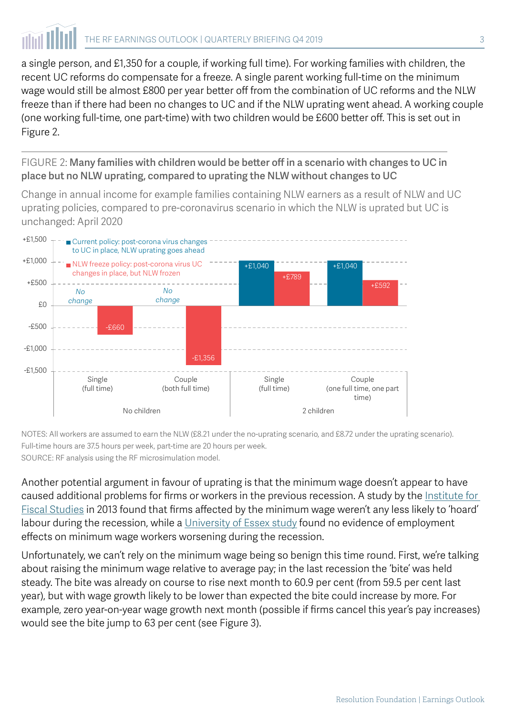a single person, and £1,350 for a couple, if working full time). For working families with children, the recent UC reforms do compensate for a freeze. A single parent working full-time on the minimum wage would still be almost £800 per year better off from the combination of UC reforms and the NLW freeze than if there had been no changes to UC and if the NLW uprating went ahead. A working couple (one working full-time, one part-time) with two children would be £600 better off. This is set out in Figure 2.

FIGURE 2: Many families with children would be better off in a scenario with changes to UC in place but no NLW uprating, compared to uprating the NLW without changes to UC

Change in annual income for example families containing NLW earners as a result of NLW and UC uprating policies, compared to pre-coronavirus scenario in which the NLW is uprated but UC is unchanged: April 2020



NOTES: All workers are assumed to earn the NLW (£8.21 under the no-uprating scenario, and £8.72 under the uprating scenario). Full-time hours are 37.5 hours per week, part-time are 20 hours per week. SOURCE: RF analysis using the RF microsimulation model.

Another potential argument in favour of uprating is that the minimum wage doesn't appear to have caused additional problems for firms or workers in the previous recession. A study by the Institute for [Fiscal Studies](https://www.ifs.org.uk/publications/6621) in 2013 found that firms affected by the minimum wage weren't any less likely to 'hoard' labour during the recession, while a [University of Essex study](https://assets.publishing.service.gov.uk/government/uploads/system/uploads/attachment_data/file/227028/National_minimum_wage-_impact_on_earnings__employment_and_hours_in_the_recession.pdf) found no evidence of employment effects on minimum wage workers worsening during the recession.

Unfortunately, we can't rely on the minimum wage being so benign this time round. First, we're talking about raising the minimum wage relative to average pay; in the last recession the 'bite' was held steady. The bite was already on course to rise next month to 60.9 per cent (from 59.5 per cent last year), but with wage growth likely to be lower than expected the bite could increase by more. For example, zero year-on-year wage growth next month (possible if firms cancel this year's pay increases) would see the bite jump to 63 per cent (see Figure 3).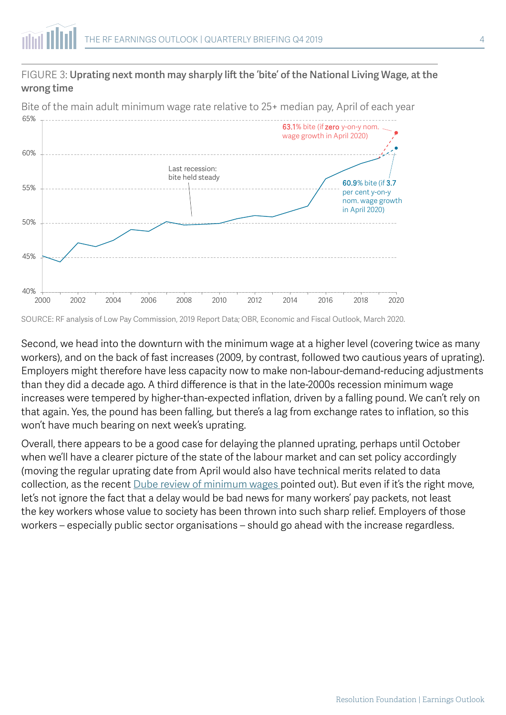#### FIGURE 3: Uprating next month may sharply lift the 'bite' of the National Living Wage, at the wrong time

40% 45% 50% 55% 60% 65% 2000 2002 2004 2006 2008 2010 2012 2014 2016 2018 2020 63.1% bite (if zero y-on-y nom. wage growth in April 2020) 60.9% bite (if 3.7 per cent y-on-y nom. wage growth in April 2020) Last recession: bite held steady

Bite of the main adult minimum wage rate relative to 25+ median pay, April of each year

SOURCE: RF analysis of Low Pay Commission, 2019 Report Data; OBR, Economic and Fiscal Outlook, March 2020.

Second, we head into the downturn with the minimum wage at a higher level (covering twice as many workers), and on the back of fast increases (2009, by contrast, followed two cautious years of uprating). Employers might therefore have less capacity now to make non-labour-demand-reducing adjustments than they did a decade ago. A third difference is that in the late-2000s recession minimum wage increases were tempered by higher-than-expected inflation, driven by a falling pound. We can't rely on that again. Yes, the pound has been falling, but there's a lag from exchange rates to inflation, so this won't have much bearing on next week's uprating.

Overall, there appears to be a good case for delaying the planned uprating, perhaps until October when we'll have a clearer picture of the state of the labour market and can set policy accordingly (moving the regular uprating date from April would also have technical merits related to data collection, as the recent **[Dube review of minimum wages](https://www.gov.uk/government/publications/impacts-of-minimum-wages-review-of-the-international-evidence) pointed out**). But even if it's the right move, let's not ignore the fact that a delay would be bad news for many workers' pay packets, not least the key workers whose value to society has been thrown into such sharp relief. Employers of those workers – especially public sector organisations – should go ahead with the increase regardless.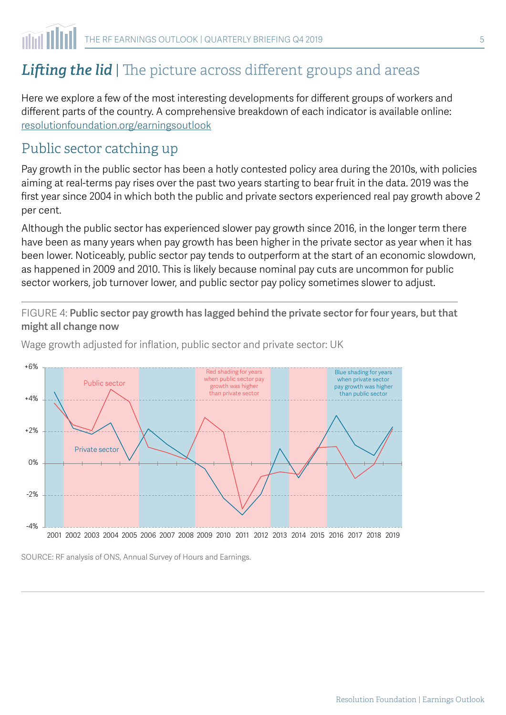## **Lifting the lid** | The picture across different groups and areas

Here we explore a few of the most interesting developments for different groups of workers and different parts of the country. A comprehensive breakdown of each indicator is available online: [resolutionfoundation.org/earningsoutlook](http://resolutionfoundation.org/earningsoutlook)

#### Public sector catching up

Pay growth in the public sector has been a hotly contested policy area during the 2010s, with policies aiming at real-terms pay rises over the past two years starting to bear fruit in the data. 2019 was the first year since 2004 in which both the public and private sectors experienced real pay growth above 2 per cent.

Although the public sector has experienced slower pay growth since 2016, in the longer term there have been as many years when pay growth has been higher in the private sector as year when it has been lower. Noticeably, public sector pay tends to outperform at the start of an economic slowdown, as happened in 2009 and 2010. This is likely because nominal pay cuts are uncommon for public sector workers, job turnover lower, and public sector pay policy sometimes slower to adjust.

FIGURE 4: Public sector pay growth has lagged behind the private sector for four years, but that might all change now

Private sector Public sector  $-4%$ -2% 0% +2% +4% +6% 2001 2002 2003 2004 2005 2006 2007 2008 2009 2010 2011 2012 2013 2014 2015 2016 2017 2018 2019 Red shading for years when public sector pay growth was higher than private sector Blue shading for years when private sector pay growth was higher than public sector

Wage growth adjusted for inflation, public sector and private sector: UK

SOURCE: RF analysis of ONS, Annual Survey of Hours and Earnings.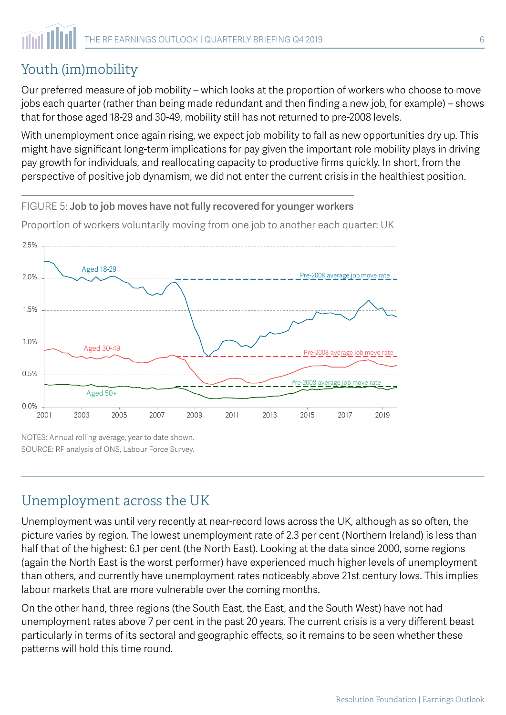## Youth (im)mobility

Our preferred measure of job mobility – which looks at the proportion of workers who choose to move jobs each quarter (rather than being made redundant and then finding a new job, for example) – shows that for those aged 18-29 and 30-49, mobility still has not returned to pre-2008 levels.

With unemployment once again rising, we expect job mobility to fall as new opportunities dry up. This might have significant long-term implications for pay given the important role mobility plays in driving pay growth for individuals, and reallocating capacity to productive firms quickly. In short, from the perspective of positive job dynamism, we did not enter the current crisis in the healthiest position.

Proportion of workers voluntarily moving from one job to another each quarter: UK

FIGURE 5: Job to job moves have not fully recovered for younger workers



NOTES: Annual rolling average, year to date shown. SOURCE: RF analysis of ONS, Labour Force Survey.

### Unemployment across the UK

Unemployment was until very recently at near-record lows across the UK, although as so often, the picture varies by region. The lowest unemployment rate of 2.3 per cent (Northern Ireland) is less than half that of the highest: 6.1 per cent (the North East). Looking at the data since 2000, some regions (again the North East is the worst performer) have experienced much higher levels of unemployment than others, and currently have unemployment rates noticeably above 21st century lows. This implies labour markets that are more vulnerable over the coming months.

On the other hand, three regions (the South East, the East, and the South West) have not had unemployment rates above 7 per cent in the past 20 years. The current crisis is a very different beast particularly in terms of its sectoral and geographic effects, so it remains to be seen whether these patterns will hold this time round.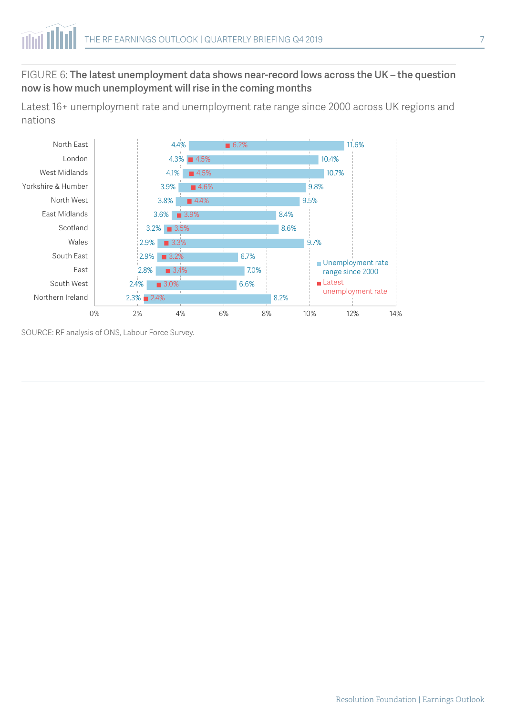#### FIGURE 6: The latest unemployment data shows near-record lows across the UK – the question now is how much unemployment will rise in the coming months

Latest 16+ unemployment rate and unemployment rate range since 2000 across UK regions and nations



SOURCE: RF analysis of ONS, Labour Force Survey.